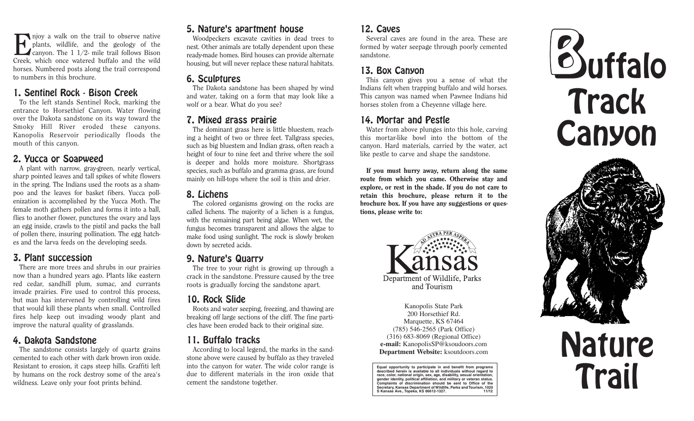Enjoy a walk on the trail to observe native plants, wildlife, and the geology of the **L** canyon. The 1  $1/2$ - mile trail follows Bison Creek, which once watered buffalo and the wild horses. Numbered posts along the trail correspond to numbers in this brochure.

#### 1. Sentinel Rock - Bison Creek

To the left stands Sentinel Rock, marking the entrance to Horsethief Canyon. Water flowing over the Dakota sandstone on its way toward the Smoky Hill River eroded these canyons. Kanopolis Reservoir periodically floods the mouth of this canyon.

#### 2. Yucca or Soapweed

A plant with narrow, gray-green, nearly vertical, sharp pointed leaves and tall spikes of white flowers in the spring. The Indians used the roots as a shampoo and the leaves for basket fibers. Yucca pollenization is accomplished by the Yucca Moth. The female moth gathers pollen and forms it into a ball, flies to another flower, punctures the ovary and lays an egg inside, crawls to the pistil and packs the ball of pollen there, insuring pollination. The egg hatches and the larva feeds on the developing seeds.

### 3. Plant succession

There are more trees and shrubs in our prairies now than a hundred years ago. Plants like eastern red cedar, sandhill plum, sumac, and currants invade prairies. Fire used to control this process, but man has intervened by controlling wild fires that would kill these plants when small. Controlled fires help keep out invading woody plant and improve the natural quality of grasslands.

## 4. Dakota Sandstone

The sandstone consists largely of quartz grains cemented to each other with dark brown iron oxide. Resistant to erosion, it caps steep hills. Graffiti left by humans on the rock destroy some of the area's wildness. Leave only your foot prints behind.

## 5. Nature's apartment house

Woodpeckers excavate cavities in dead trees to nest. Other animals are totally dependent upon these ready-made homes. Bird houses can provide alternate housing, but will never replace these natural habitats.

### 6. Sculptures

The Dakota sandstone has been shaped by wind and water, taking on a form that may look like a wolf or a bear. What do you see?

## 7. Mixed grass prairie

The dominant grass here is little bluestem, reaching a height of two or three feet. Tallgrass species, such as big bluestem and Indian grass, often reach a height of four to nine feet and thrive where the soil is deeper and holds more moisture. Shortgrass species, such as buffalo and gramma grass, are found mainly on hill-tops where the soil is thin and drier.

# 8. Lichens

The colored organisms growing on the rocks are called lichens. The majority of a lichen is a fungus, with the remaining part being algae. When wet, the fungus becomes transparent and allows the algae to make food using sunlight. The rock is slowly broken down by secreted acids.

### 9. Nature's Quarry

The tree to your right is growing up through a crack in the sandstone. Pressure caused by the tree roots is gradually forcing the sandstone apart.

# 10. Rock Slide

Roots and water seeping, freezing, and thawing are breaking off large sections of the cliff. The fine particles have been eroded back to their original size.

# 11. Buffalo tracks

According to local legend, the marks in the sandstone above were caused by buffalo as they traveled into the canyon for water. The wide color range is due to different materials in the iron oxide that cement the sandstone together.

### 12. Caves

Several caves are found in the area. These are formed by water seepage through poorly cemented sandstone.

### 13. Box Canyon

This canyon gives you a sense of what the Indians felt when trapping buffalo and wild horses. This canyon was named when Pawnee Indians hid horses stolen from a Cheyenne village here.

# 14. Mortar and Pestle

Water from above plunges into this hole, carving this mortar-like bowl into the bottom of the canyon. Hard materials, carried by the water, act like pestle to carve and shape the sandstone.

If you must hurry away, return along the same route from which you came. Otherwise stay and explore, or rest in the shade. If you do not care to retain this brochure, please return it to the brochure box. If you have any suggestions or questions, please write to:



Kanopolis State Park 200 Horsethief Rd. Marquette, KS 67464 (785) 546-2565 (Park Office) (316) 683-8069 (Regional Office) **e-mail:** KanopolisSP@ksoudoors.com **Department Website:** ksoutdoors.com

**Equal opportunity to participate in and benefit from programs described herein is available to all individuals without regard to race, color, national origin, sex, age, disability, sexual orientation, gender identity, political affiliation, and military or veteran status. Complaints of discrimination should be sent to Office of the Secretary, Kansas Department of Wildlife, Parks and Tourism, 1020** S Kansas Ave., Topeka, KS 66612-1327.





Nature

Trail